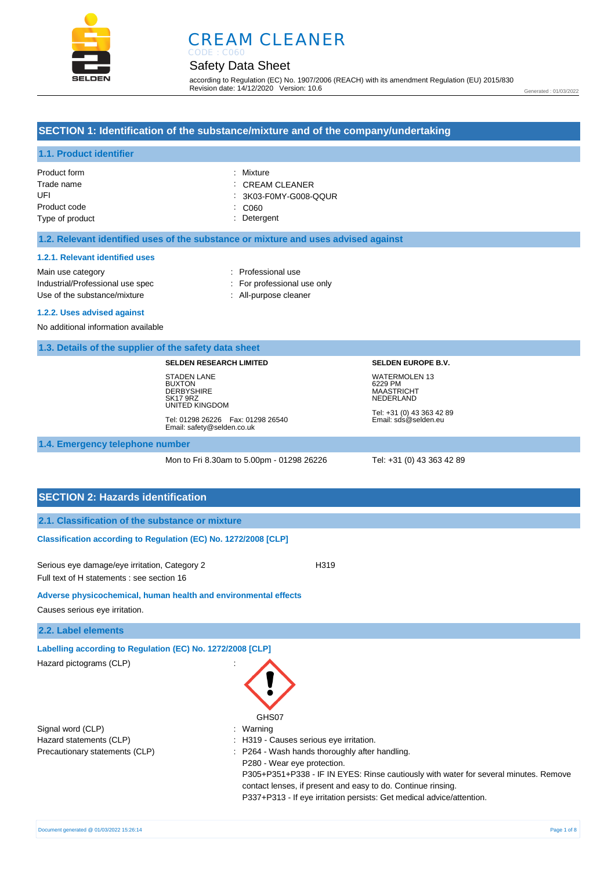

# CREAM CLEANER

# Safety Data Sheet

according to Regulation (EC) No. 1907/2006 (REACH) with its amendment Regulation (EU) 2015/830 Revision date: 14/12/2020 Version: 10.6

Generated : 01/03/2022

## **SECTION 1: Identification of the substance/mixture and of the company/undertaking**

# **1.1. Product identifier**

| Product form    | : Mixture                  |
|-----------------|----------------------------|
| Trade name      | $\therefore$ CREAM CLEANER |
| UFL             | : 3K03-F0MY-G008-QQUR      |
| Product code    | CO60                       |
| Type of product | : Detergent                |

#### **1.2. Relevant identified uses of the substance or mixture and uses advised against**

#### **1.2.1. Relevant identified uses**

Main use category **Example 20** and 20 and 20 and 20 and 20 and 20 and 20 and 20 and 20 and 20 and 20 and 20 and 20 and 20 and 20 and 20 and 20 and 20 and 20 and 20 and 20 and 20 and 20 and 20 and 20 and 20 and 20 and 20 an Industrial/Professional use spec : For professional use only Use of the substance/mixture in the substance/mixture in the substance of the substance of the substance of the substance/mixture in the substance of the substance of the substance of the substance of the substance of the

#### **1.2.2. Uses advised against**

No additional information available

#### **1.3. Details of the supplier of the safety data sheet**

#### **SELDEN RESEARCH LIMITED**

STADEN LANE BUXTON **DERBYSHIRE** SK17 9RZ UNITED KINGDOM

Tel: 01298 26226 Fax: 01298 26540 Email: safety@selden.co.uk

Tel: +31 (0) 43 363 42 89 Email: sds@selden.eu

**SELDEN EUROPE B.V.**

WATERMOLEN 13 6229 PM MAASTRICHT NEDERLAND

#### **1.4. Emergency telephone number**

Mon to Fri 8.30am to 5.00pm - 01298 26226 Tel: +31 (0) 43 363 42 89

### **SECTION 2: Hazards identification**

#### **Classification according to Regulation (EC) No. 1272/2008 [CLP]**

Serious eye damage/eye irritation, Category 2 <br>
H319 Full text of H statements : see section 16

**Adverse physicochemical, human health and environmental effects** 

Causes serious eye irritation.

#### **2.2. Label elements**

**Labelling according to Regulation (EC) No. 1272/2008 [CLP]** 

| Hazard pictograms (CLP)        |                                                                                                                                                                                                                                                                                                                |
|--------------------------------|----------------------------------------------------------------------------------------------------------------------------------------------------------------------------------------------------------------------------------------------------------------------------------------------------------------|
| Signal word (CLP)              | GHS07<br>: Warning                                                                                                                                                                                                                                                                                             |
| Hazard statements (CLP)        | : H319 - Causes serious eye irritation.                                                                                                                                                                                                                                                                        |
| Precautionary statements (CLP) | : P264 - Wash hands thoroughly after handling.<br>P280 - Wear eye protection.<br>P305+P351+P338 - IF IN EYES: Rinse cautiously with water for several minutes. Remove<br>contact lenses, if present and easy to do. Continue rinsing.<br>P337+P313 - If eye irritation persists: Get medical advice/attention. |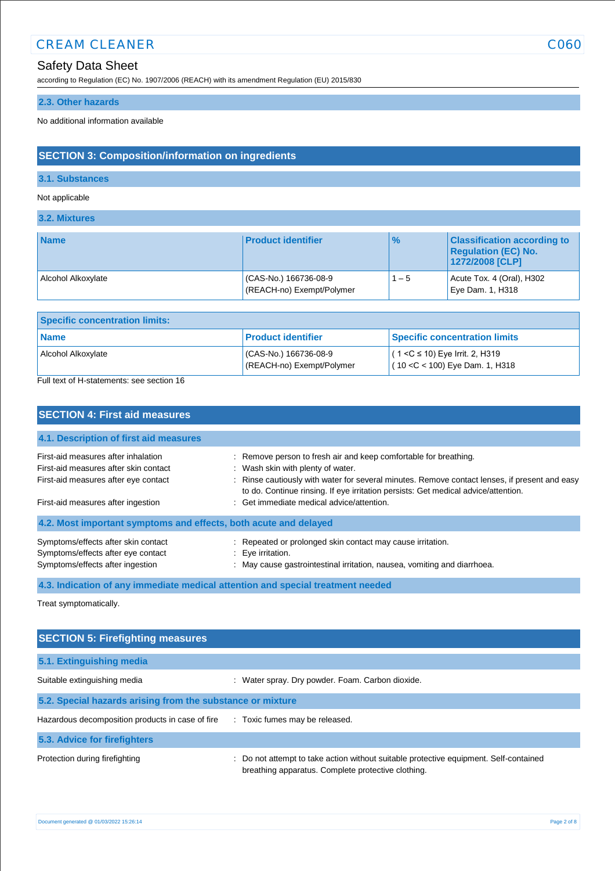# **CREAM CLEANER** CO60

# Safety Data Sheet

according to Regulation (EC) No. 1907/2006 (REACH) with its amendment Regulation (EU) 2015/830

# **2.3. Other hazards**

No additional information available

# **SECTION 3: Composition/information on ingredients**

# **3.1. Substances**

Not applicable

**3.2. Mixtures**

| <b>Name</b>        | <b>Product identifier</b>                          | $\frac{9}{6}$ | <b>Classification according to</b><br><b>Regulation (EC) No.</b><br>1272/2008 [CLP] |
|--------------------|----------------------------------------------------|---------------|-------------------------------------------------------------------------------------|
| Alcohol Alkoxylate | (CAS-No.) 166736-08-9<br>(REACH-no) Exempt/Polymer | $1 - 5$       | Acute Tox. 4 (Oral), $H302$<br>Eye Dam. 1, H318                                     |

| l Product identifier<br><b>Name</b>                                      | <b>Specific concentration limits:</b>                                  |  |  |  |
|--------------------------------------------------------------------------|------------------------------------------------------------------------|--|--|--|
|                                                                          | <b>Specific concentration limits</b>                                   |  |  |  |
| (CAS-No.) 166736-08-9<br>Alcohol Alkoxylate<br>(REACH-no) Exempt/Polymer | $(1 < C$ ≤ 10) Eye Irrit. 2, H319<br>$(10 < C < 100)$ Eye Dam. 1, H318 |  |  |  |

Full text of H-statements: see section 16

| <b>SECTION 4: First aid measures</b>                                                                          |                                                                                                                                                                                     |  |  |
|---------------------------------------------------------------------------------------------------------------|-------------------------------------------------------------------------------------------------------------------------------------------------------------------------------------|--|--|
| 4.1. Description of first aid measures                                                                        |                                                                                                                                                                                     |  |  |
| First-aid measures after inhalation<br>First-aid measures after skin contact                                  | : Remove person to fresh air and keep comfortable for breathing.<br>: Wash skin with plenty of water.                                                                               |  |  |
| First-aid measures after eye contact                                                                          | : Rinse cautiously with water for several minutes. Remove contact lenses, if present and easy<br>to do. Continue rinsing. If eye irritation persists: Get medical advice/attention. |  |  |
| First-aid measures after ingestion                                                                            | : Get immediate medical advice/attention.                                                                                                                                           |  |  |
| 4.2. Most important symptoms and effects, both acute and delayed                                              |                                                                                                                                                                                     |  |  |
| Symptoms/effects after skin contact<br>Symptoms/effects after eye contact<br>Symptoms/effects after ingestion | : Repeated or prolonged skin contact may cause irritation.<br>: Eye irritation.<br>: May cause gastrointestinal irritation, nausea, vomiting and diarrhoea.                         |  |  |

**4.3. Indication of any immediate medical attention and special treatment needed**

Treat symptomatically.

| <b>SECTION 5: Firefighting measures</b>                    |                                                                                                                                             |
|------------------------------------------------------------|---------------------------------------------------------------------------------------------------------------------------------------------|
| 5.1. Extinguishing media                                   |                                                                                                                                             |
| Suitable extinguishing media                               | : Water spray. Dry powder. Foam. Carbon dioxide.                                                                                            |
| 5.2. Special hazards arising from the substance or mixture |                                                                                                                                             |
| Hazardous decomposition products in case of fire           | : Toxic fumes may be released.                                                                                                              |
| 5.3. Advice for firefighters                               |                                                                                                                                             |
| Protection during firefighting                             | : Do not attempt to take action without suitable protective equipment. Self-contained<br>breathing apparatus. Complete protective clothing. |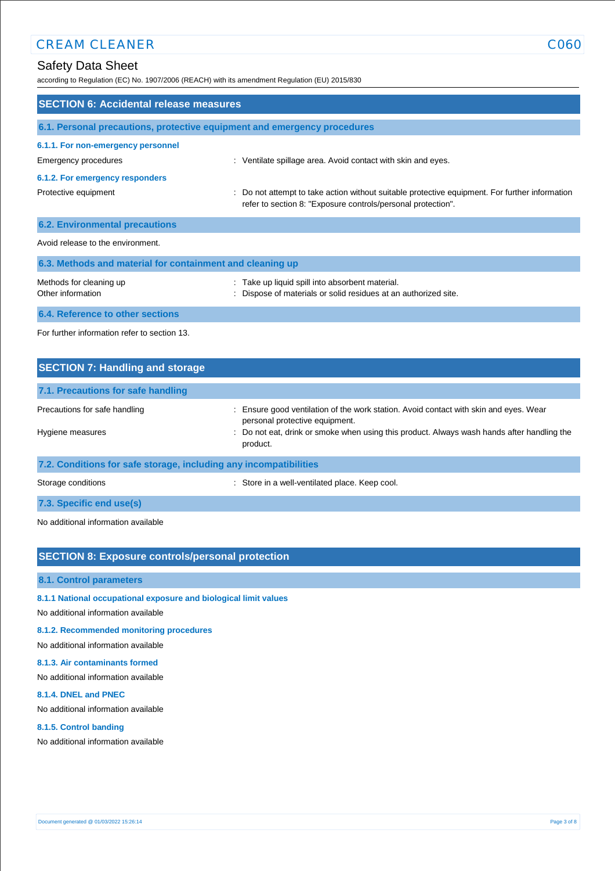according to Regulation (EC) No. 1907/2006 (REACH) with its amendment Regulation (EU) 2015/830

| <b>SECTION 6: Accidental release measures</b>                            |                                                                                                                                                                |  |  |
|--------------------------------------------------------------------------|----------------------------------------------------------------------------------------------------------------------------------------------------------------|--|--|
| 6.1. Personal precautions, protective equipment and emergency procedures |                                                                                                                                                                |  |  |
| 6.1.1. For non-emergency personnel                                       |                                                                                                                                                                |  |  |
| Emergency procedures                                                     | : Ventilate spillage area. Avoid contact with skin and eyes.                                                                                                   |  |  |
| 6.1.2. For emergency responders                                          |                                                                                                                                                                |  |  |
| Protective equipment                                                     | : Do not attempt to take action without suitable protective equipment. For further information<br>refer to section 8: "Exposure controls/personal protection". |  |  |
| <b>6.2. Environmental precautions</b>                                    |                                                                                                                                                                |  |  |
| Avoid release to the environment.                                        |                                                                                                                                                                |  |  |
| 6.3. Methods and material for containment and cleaning up                |                                                                                                                                                                |  |  |
| Methods for cleaning up<br>Other information                             | : Take up liquid spill into absorbent material.<br>: Dispose of materials or solid residues at an authorized site.                                             |  |  |
| 6.4. Reference to other sections                                         |                                                                                                                                                                |  |  |
| For further information refer to section 13.                             |                                                                                                                                                                |  |  |

| <b>SECTION 7: Handling and storage</b>                            |                                                                                                                         |
|-------------------------------------------------------------------|-------------------------------------------------------------------------------------------------------------------------|
| 7.1. Precautions for safe handling                                |                                                                                                                         |
| Precautions for safe handling                                     | : Ensure good ventilation of the work station. Avoid contact with skin and eyes. Wear<br>personal protective equipment. |
| Hygiene measures                                                  | : Do not eat, drink or smoke when using this product. Always wash hands after handling the<br>product.                  |
| 7.2. Conditions for safe storage, including any incompatibilities |                                                                                                                         |

Storage conditions **Storage conditions** : Store in a well-ventilated place. Keep cool.

# **7.3. Specific end use(s)**

No additional information available

# **SECTION 8: Exposure controls/personal protection**

#### **8.1. Control parameters**

#### **8.1.1 National occupational exposure and biological limit values**

No additional information available

### **8.1.2. Recommended monitoring procedures**

No additional information available

#### **8.1.3. Air contaminants formed**

No additional information available

#### **8.1.4. DNEL and PNEC**

No additional information available

#### **8.1.5. Control banding**

No additional information available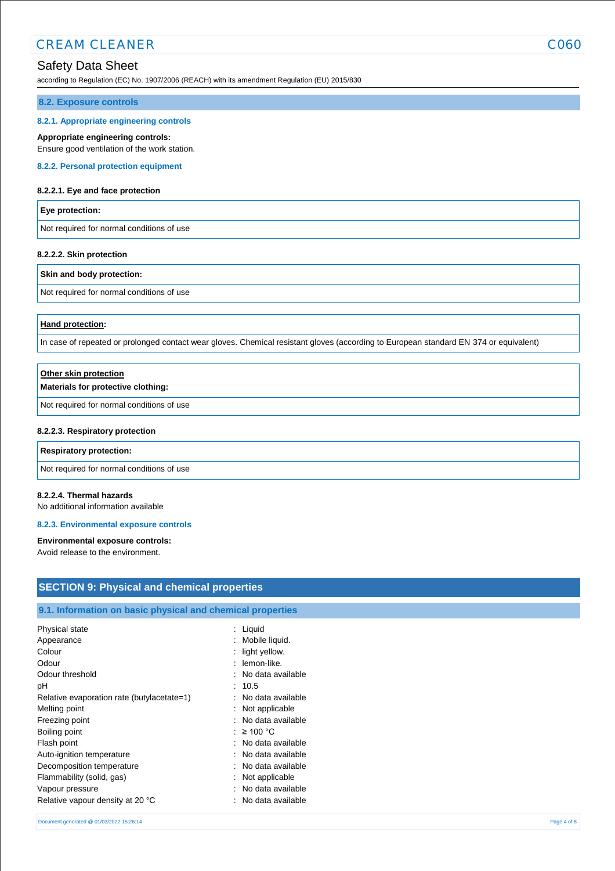# CREAM CLEANER COACHER CONTROLLER COACHER COACHER COACHER COACHER COACHER COACHER COACHER COACHER COACHER COACH

# Safety Data Sheet

according to Regulation (EC) No. 1907/2006 (REACH) with its amendment Regulation (EU) 2015/830

#### **8.2. Exposure controls**

#### **8.2.1. Appropriate engineering controls**

#### **Appropriate engineering controls:**

Ensure good ventilation of the work station.

### **8.2.2. Personal protection equipment**

#### **8.2.2.1. Eye and face protection**

#### **Eye protection:**

Not required for normal conditions of use

#### **8.2.2.2. Skin protection**

#### **Skin and body protection:**

Not required for normal conditions of use

#### **Hand protection:**

In case of repeated or prolonged contact wear gloves. Chemical resistant gloves (according to European standard EN 374 or equivalent)

| Other skin protection                     |  |
|-------------------------------------------|--|
| Materials for protective clothing:        |  |
| Not required for normal conditions of use |  |

#### **8.2.2.3. Respiratory protection**

#### **Respiratory protection:**

Not required for normal conditions of use

#### **8.2.2.4. Thermal hazards**

No additional information available

#### **8.2.3. Environmental exposure controls**

# **Environmental exposure controls:**

Avoid release to the environment.

| <b>SECTION 9: Physical and chemical properties</b>         |                     |             |
|------------------------------------------------------------|---------------------|-------------|
| 9.1. Information on basic physical and chemical properties |                     |             |
| Physical state                                             | $:$ Liquid          |             |
| Appearance                                                 | : Mobile liquid.    |             |
| Colour                                                     | $:$ light yellow.   |             |
| Odour                                                      | : lemon-like.       |             |
| Odour threshold                                            | : No data available |             |
| рH                                                         | : 10.5              |             |
| Relative evaporation rate (butylacetate=1)                 | : No data available |             |
| Melting point                                              | : Not applicable    |             |
| Freezing point                                             | : No data available |             |
| Boiling point                                              | : $\geq 100$ °C     |             |
| Flash point                                                | : No data available |             |
| Auto-ignition temperature                                  | : No data available |             |
| Decomposition temperature                                  | : No data available |             |
| Flammability (solid, gas)                                  | : Not applicable    |             |
| Vapour pressure                                            | : No data available |             |
| Relative vapour density at 20 °C                           | : No data available |             |
| Document generated @ 01/03/2022 15:26:14                   |                     | Page 4 of 8 |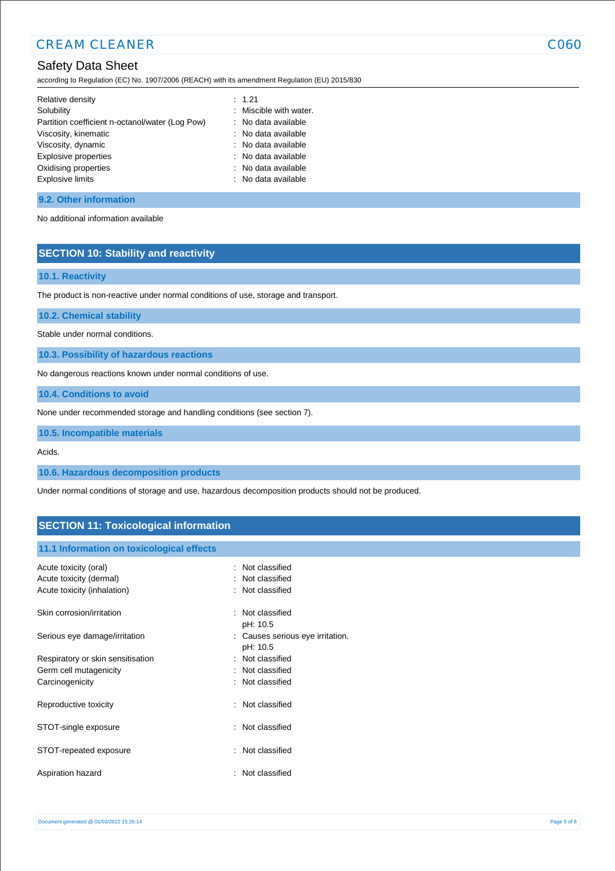according to Regulation (EC) No. 1907/2006 (REACH) with its amendment Regulation (EU) 2015/830

| Relative density                                | : 1.21                 |
|-------------------------------------------------|------------------------|
| Solubility                                      | : Miscible with water. |
| Partition coefficient n-octanol/water (Log Pow) | : No data available    |
| Viscosity, kinematic                            | : No data available    |
| Viscosity, dynamic                              | : No data available    |
| Explosive properties                            | : No data available    |
| Oxidising properties                            | : No data available    |
| <b>Explosive limits</b>                         | : No data available    |
|                                                 |                        |

#### **9.2. Other information**

No additional information available

## **SECTION 10: Stability and reactivity**

#### **10.1. Reactivity**

The product is non-reactive under normal conditions of use, storage and transport.

**10.2. Chemical stability**

Stable under normal conditions.

**10.3. Possibility of hazardous reactions**

No dangerous reactions known under normal conditions of use.

**10.4. Conditions to avoid**

None under recommended storage and handling conditions (see section 7).

**10.5. Incompatible materials**

Acids.

**10.6. Hazardous decomposition products**

Under normal conditions of storage and use, hazardous decomposition products should not be produced.

# **SECTION 11: Toxicological information**

#### **11.1 Information on toxicological effects**

| Acute toxicity (oral)<br>Acute toxicity (dermal)<br>Acute toxicity (inhalation) | : Not classified<br>: Not classified<br>: Not classified |
|---------------------------------------------------------------------------------|----------------------------------------------------------|
| Skin corrosion/irritation                                                       | : Not classified<br>pH: 10.5                             |
| Serious eye damage/irritation                                                   | : Causes serious eye irritation.<br>pH: 10.5             |
| Respiratory or skin sensitisation                                               | : Not classified                                         |
| Germ cell mutagenicity                                                          | : Not classified                                         |
| Carcinogenicity                                                                 | : Not classified                                         |
| Reproductive toxicity                                                           | : Not classified                                         |
| STOT-single exposure                                                            | : Not classified                                         |
| STOT-repeated exposure                                                          | : Not classified                                         |
| Aspiration hazard                                                               | Not classified                                           |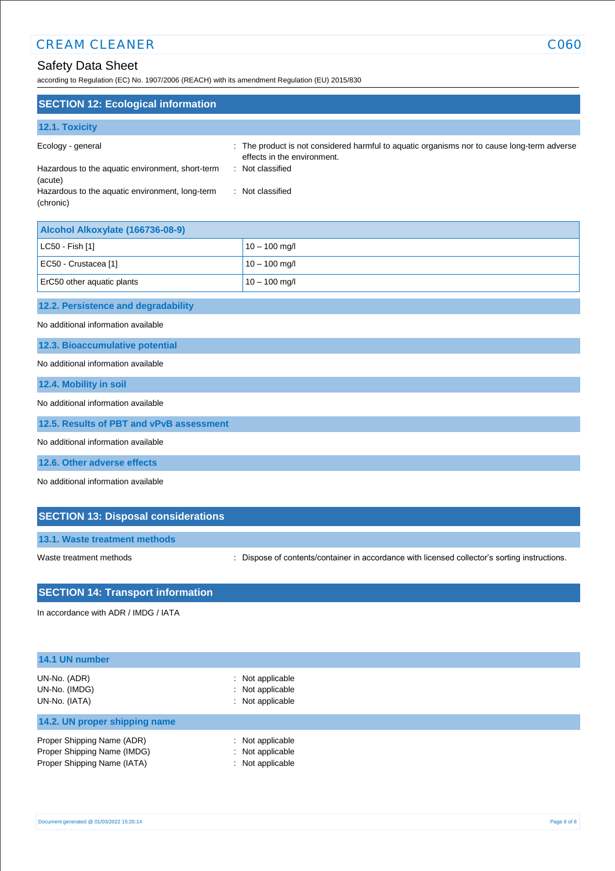# **CREAM CLEANER** CO60

# Safety Data Sheet

according to Regulation (EC) No. 1907/2006 (REACH) with its amendment Regulation (EU) 2015/830

| <b>SECTION 12: Ecological information</b>                                                                                                             |                                                                                                                                                                  |  |
|-------------------------------------------------------------------------------------------------------------------------------------------------------|------------------------------------------------------------------------------------------------------------------------------------------------------------------|--|
| 12.1. Toxicity                                                                                                                                        |                                                                                                                                                                  |  |
| Ecology - general<br>Hazardous to the aquatic environment, short-term<br>÷<br>(acute)<br>Hazardous to the aquatic environment, long-term<br>(chronic) | : The product is not considered harmful to aquatic organisms nor to cause long-term adverse<br>effects in the environment.<br>Not classified<br>: Not classified |  |
| Alcohol Alkoxylate (166736-08-9)                                                                                                                      |                                                                                                                                                                  |  |
| LC50 - Fish [1]                                                                                                                                       | $10 - 100$ mg/l                                                                                                                                                  |  |
| EC50 - Crustacea [1]                                                                                                                                  | $10 - 100$ mg/l                                                                                                                                                  |  |
| ErC50 other aquatic plants                                                                                                                            | $10 - 100$ mg/l                                                                                                                                                  |  |
| 12.2. Persistence and degradability                                                                                                                   |                                                                                                                                                                  |  |
| No additional information available                                                                                                                   |                                                                                                                                                                  |  |
| 12.3. Bioaccumulative potential                                                                                                                       |                                                                                                                                                                  |  |
| No additional information available                                                                                                                   |                                                                                                                                                                  |  |
| 12.4. Mobility in soil                                                                                                                                |                                                                                                                                                                  |  |
| No additional information available                                                                                                                   |                                                                                                                                                                  |  |
| 12.5. Results of PBT and vPvB assessment                                                                                                              |                                                                                                                                                                  |  |
| No additional information available                                                                                                                   |                                                                                                                                                                  |  |
| 12.6. Other adverse effects                                                                                                                           |                                                                                                                                                                  |  |
| No additional information available                                                                                                                   |                                                                                                                                                                  |  |
| <b>SECTION 13: Disposal considerations</b>                                                                                                            |                                                                                                                                                                  |  |

**13.1. Waste treatment methods**

Waste treatment methods : Dispose of contents/container in accordance with licensed collector's sorting instructions.

# **SECTION 14: Transport information**

In accordance with ADR / IMDG / IATA

| 14.1 UN number                                                                           |                                                                     |  |
|------------------------------------------------------------------------------------------|---------------------------------------------------------------------|--|
| UN-No. (ADR)<br>UN-No. (IMDG)<br>UN-No. (IATA)                                           | $\therefore$ Not applicable<br>: Not applicable<br>: Not applicable |  |
| 14.2. UN proper shipping name                                                            |                                                                     |  |
| Proper Shipping Name (ADR)<br>Proper Shipping Name (IMDG)<br>Proper Shipping Name (IATA) | : Not applicable<br>: Not applicable<br>: Not applicable            |  |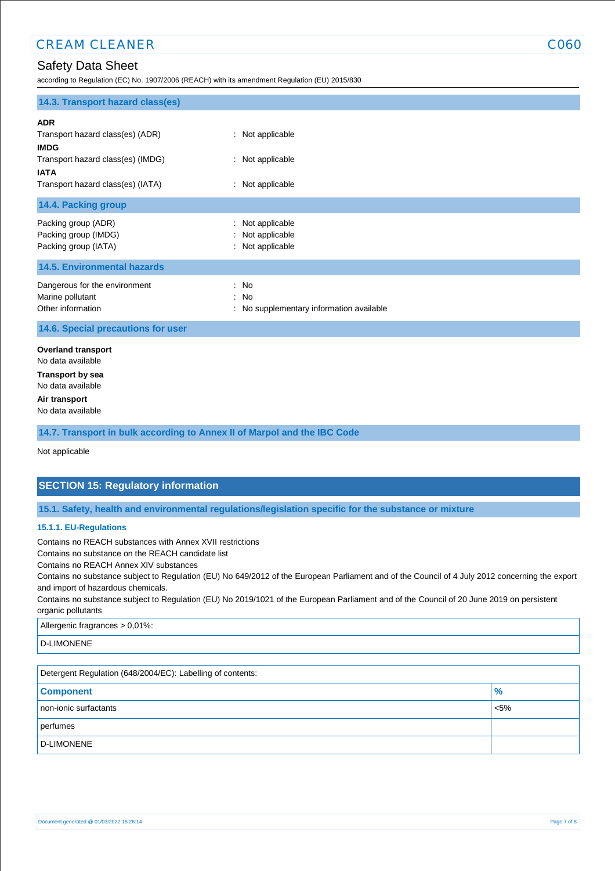according to Regulation (EC) No. 1907/2006 (REACH) with its amendment Regulation (EU) 2015/830

| 14.3. Transport hazard class(es)                                                                                                                       |                                                          |
|--------------------------------------------------------------------------------------------------------------------------------------------------------|----------------------------------------------------------|
| <b>ADR</b><br>Transport hazard class(es) (ADR)<br><b>IMDG</b><br>Transport hazard class(es) (IMDG)<br><b>IATA</b><br>Transport hazard class(es) (IATA) | : Not applicable<br>: Not applicable<br>: Not applicable |
| 14.4. Packing group                                                                                                                                    |                                                          |
| Packing group (ADR)<br>Packing group (IMDG)<br>Packing group (IATA)                                                                                    | Not applicable<br>Not applicable<br>: Not applicable     |
| <b>14.5. Environmental hazards</b>                                                                                                                     |                                                          |
| Dangerous for the environment<br>Marine pollutant<br>Other information                                                                                 | : No<br>: No<br>: No supplementary information available |
| 14.6. Special precautions for user                                                                                                                     |                                                          |
| <b>Overland transport</b><br>No data available<br><b>Transport by sea</b><br>No data available<br>Air transport<br>No data available                   |                                                          |

**14.7. Transport in bulk according to Annex II of Marpol and the IBC Code**

Not applicable

# **SECTION 15: Regulatory information**

**15.1. Safety, health and environmental regulations/legislation specific for the substance or mixture**

#### **15.1.1. EU-Regulations**

Contains no REACH substances with Annex XVII restrictions

Contains no substance on the REACH candidate list

Contains no REACH Annex XIV substances

Contains no substance subject to Regulation (EU) No 649/2012 of the European Parliament and of the Council of 4 July 2012 concerning the export and import of hazardous chemicals.

Contains no substance subject to Regulation (EU) No 2019/1021 of the European Parliament and of the Council of 20 June 2019 on persistent organic pollutants

Allergenic fragrances > 0,01%:

D-LIMONENE

| Detergent Regulation (648/2004/EC): Labelling of contents: |               |  |
|------------------------------------------------------------|---------------|--|
| <b>Component</b>                                           | $\frac{9}{6}$ |  |
| non-ionic surfactants                                      | < 5%          |  |
| perfumes                                                   |               |  |
| D-LIMONENE                                                 |               |  |